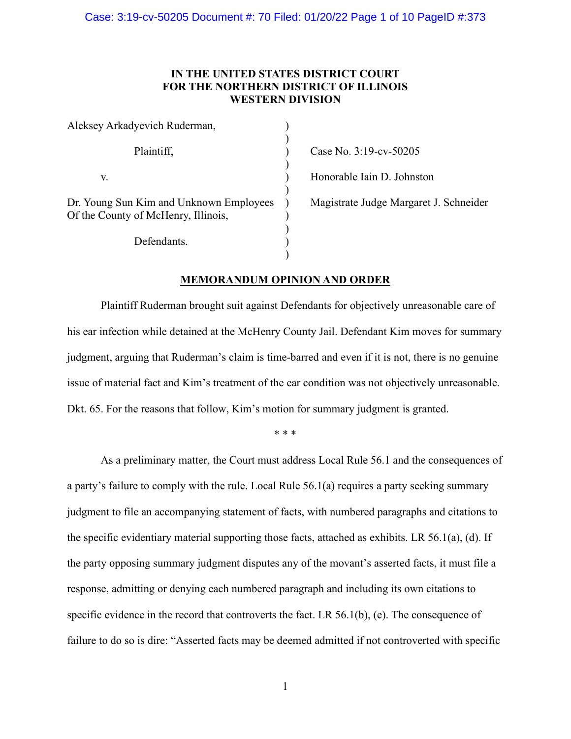# **IN THE UNITED STATES DISTRICT COURT FOR THE NORTHERN DISTRICT OF ILLINOIS WESTERN DIVISION**

| Aleksey Arkadyevich Ruderman,                                                  |  |
|--------------------------------------------------------------------------------|--|
| Plaintiff,                                                                     |  |
| V.                                                                             |  |
| Dr. Young Sun Kim and Unknown Employees<br>Of the County of McHenry, Illinois, |  |
| Defendants.                                                                    |  |

Case No. 3:19-cv-50205

Honorable Iain D. Johnston

Magistrate Judge Margaret J. Schneider

# **MEMORANDUM OPINION AND ORDER**

Plaintiff Ruderman brought suit against Defendants for objectively unreasonable care of his ear infection while detained at the McHenry County Jail. Defendant Kim moves for summary judgment, arguing that Ruderman's claim is time-barred and even if it is not, there is no genuine issue of material fact and Kim's treatment of the ear condition was not objectively unreasonable. Dkt. 65. For the reasons that follow, Kim's motion for summary judgment is granted.

\* \* \*

As a preliminary matter, the Court must address Local Rule 56.1 and the consequences of a party's failure to comply with the rule. Local Rule 56.1(a) requires a party seeking summary judgment to file an accompanying statement of facts, with numbered paragraphs and citations to the specific evidentiary material supporting those facts, attached as exhibits. LR 56.1(a), (d). If the party opposing summary judgment disputes any of the movant's asserted facts, it must file a response, admitting or denying each numbered paragraph and including its own citations to specific evidence in the record that controverts the fact. LR 56.1(b), (e). The consequence of failure to do so is dire: "Asserted facts may be deemed admitted if not controverted with specific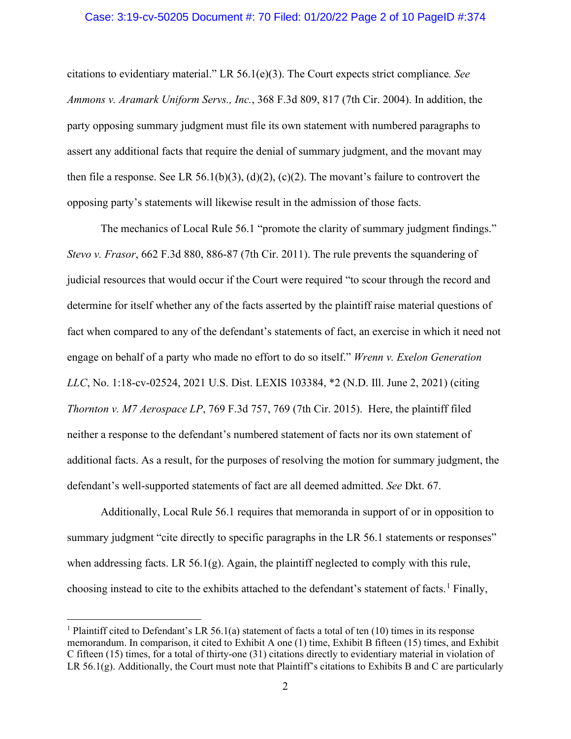#### Case: 3:19-cv-50205 Document #: 70 Filed: 01/20/22 Page 2 of 10 PageID #:374

citations to evidentiary material." LR 56.1(e)(3). The Court expects strict compliance*. See Ammons v. Aramark Uniform Servs., Inc.*, 368 F.3d 809, 817 (7th Cir. 2004). In addition, the party opposing summary judgment must file its own statement with numbered paragraphs to assert any additional facts that require the denial of summary judgment, and the movant may then file a response. See LR 56.1(b)(3), (d)(2), (c)(2). The movant's failure to controvert the opposing party's statements will likewise result in the admission of those facts.

The mechanics of Local Rule 56.1 "promote the clarity of summary judgment findings." *Stevo v. Frasor*, 662 F.3d 880, 886-87 (7th Cir. 2011). The rule prevents the squandering of judicial resources that would occur if the Court were required "to scour through the record and determine for itself whether any of the facts asserted by the plaintiff raise material questions of fact when compared to any of the defendant's statements of fact, an exercise in which it need not engage on behalf of a party who made no effort to do so itself." *Wrenn v. Exelon Generation LLC*, No. 1:18-cv-02524, 2021 U.S. Dist. LEXIS 103384, \*2 (N.D. Ill. June 2, 2021) (citing *Thornton v. M7 Aerospace LP*, 769 F.3d 757, 769 (7th Cir. 2015). Here, the plaintiff filed neither a response to the defendant's numbered statement of facts nor its own statement of additional facts. As a result, for the purposes of resolving the motion for summary judgment, the defendant's well-supported statements of fact are all deemed admitted. *See* Dkt. 67.

Additionally, Local Rule 56.1 requires that memoranda in support of or in opposition to summary judgment "cite directly to specific paragraphs in the LR 56.1 statements or responses" when addressing facts. LR 56.1(g). Again, the plaintiff neglected to comply with this rule, choosing instead to cite to the exhibits attached to the defendant's statement of facts.<sup>[1](#page-1-0)</sup> Finally,

<span id="page-1-0"></span><sup>&</sup>lt;sup>1</sup> Plaintiff cited to Defendant's LR 56.1(a) statement of facts a total of ten (10) times in its response memorandum. In comparison, it cited to Exhibit A one (1) time, Exhibit B fifteen (15) times, and Exhibit C fifteen (15) times, for a total of thirty-one (31) citations directly to evidentiary material in violation of LR 56.1(g). Additionally, the Court must note that Plaintiff's citations to Exhibits B and C are particularly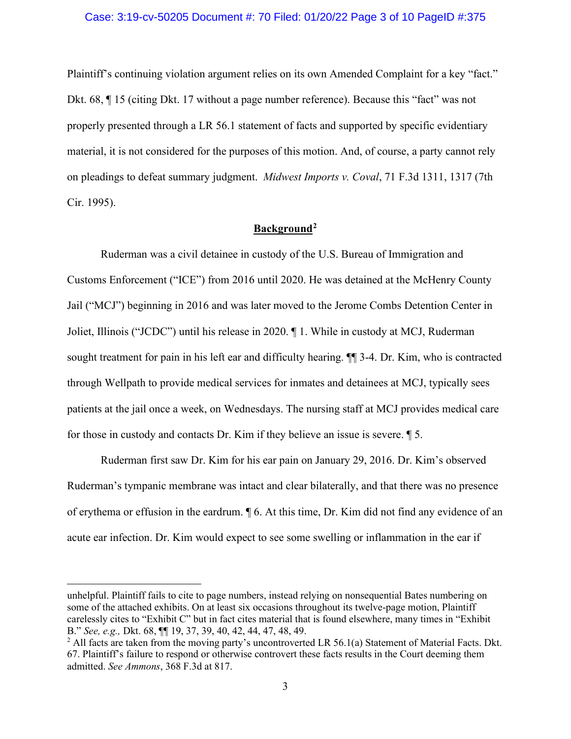### Case: 3:19-cv-50205 Document #: 70 Filed: 01/20/22 Page 3 of 10 PageID #:375

Plaintiff's continuing violation argument relies on its own Amended Complaint for a key "fact." Dkt. 68, ¶ 15 (citing Dkt. 17 without a page number reference). Because this "fact" was not properly presented through a LR 56.1 statement of facts and supported by specific evidentiary material, it is not considered for the purposes of this motion. And, of course, a party cannot rely on pleadings to defeat summary judgment. *Midwest Imports v. Coval*, 71 F.3d 1311, 1317 (7th Cir. 1995).

# **Background[2](#page-2-0)**

Ruderman was a civil detainee in custody of the U.S. Bureau of Immigration and Customs Enforcement ("ICE") from 2016 until 2020. He was detained at the McHenry County Jail ("MCJ") beginning in 2016 and was later moved to the Jerome Combs Detention Center in Joliet, Illinois ("JCDC") until his release in 2020. ¶ 1. While in custody at MCJ, Ruderman sought treatment for pain in his left ear and difficulty hearing. ¶¶ 3-4. Dr. Kim, who is contracted through Wellpath to provide medical services for inmates and detainees at MCJ, typically sees patients at the jail once a week, on Wednesdays. The nursing staff at MCJ provides medical care for those in custody and contacts Dr. Kim if they believe an issue is severe. ¶ 5.

Ruderman first saw Dr. Kim for his ear pain on January 29, 2016. Dr. Kim's observed Ruderman's tympanic membrane was intact and clear bilaterally, and that there was no presence of erythema or effusion in the eardrum. ¶ 6. At this time, Dr. Kim did not find any evidence of an acute ear infection. Dr. Kim would expect to see some swelling or inflammation in the ear if

unhelpful. Plaintiff fails to cite to page numbers, instead relying on nonsequential Bates numbering on some of the attached exhibits. On at least six occasions throughout its twelve-page motion, Plaintiff carelessly cites to "Exhibit C" but in fact cites material that is found elsewhere, many times in "Exhibit B." *See, e.g.,* Dkt. 68, ¶¶ 19, 37, 39, 40, 42, 44, 47, 48, 49.

<span id="page-2-0"></span> $2$  All facts are taken from the moving party's uncontroverted LR 56.1(a) Statement of Material Facts. Dkt. 67. Plaintiff's failure to respond or otherwise controvert these facts results in the Court deeming them admitted. *See Ammons*, 368 F.3d at 817.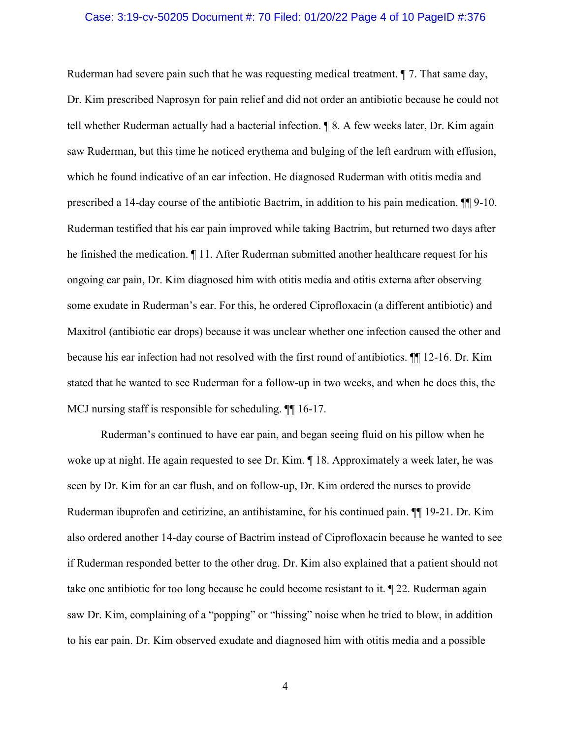### Case: 3:19-cv-50205 Document #: 70 Filed: 01/20/22 Page 4 of 10 PageID #:376

Ruderman had severe pain such that he was requesting medical treatment. ¶ 7. That same day, Dr. Kim prescribed Naprosyn for pain relief and did not order an antibiotic because he could not tell whether Ruderman actually had a bacterial infection. ¶ 8. A few weeks later, Dr. Kim again saw Ruderman, but this time he noticed erythema and bulging of the left eardrum with effusion, which he found indicative of an ear infection. He diagnosed Ruderman with otitis media and prescribed a 14-day course of the antibiotic Bactrim, in addition to his pain medication. ¶¶ 9-10. Ruderman testified that his ear pain improved while taking Bactrim, but returned two days after he finished the medication. ¶ 11. After Ruderman submitted another healthcare request for his ongoing ear pain, Dr. Kim diagnosed him with otitis media and otitis externa after observing some exudate in Ruderman's ear. For this, he ordered Ciprofloxacin (a different antibiotic) and Maxitrol (antibiotic ear drops) because it was unclear whether one infection caused the other and because his ear infection had not resolved with the first round of antibiotics. ¶¶ 12-16. Dr. Kim stated that he wanted to see Ruderman for a follow-up in two weeks, and when he does this, the MCJ nursing staff is responsible for scheduling. ¶¶ 16-17.

Ruderman's continued to have ear pain, and began seeing fluid on his pillow when he woke up at night. He again requested to see Dr. Kim.  $\P$  18. Approximately a week later, he was seen by Dr. Kim for an ear flush, and on follow-up, Dr. Kim ordered the nurses to provide Ruderman ibuprofen and cetirizine, an antihistamine, for his continued pain. ¶¶ 19-21. Dr. Kim also ordered another 14-day course of Bactrim instead of Ciprofloxacin because he wanted to see if Ruderman responded better to the other drug. Dr. Kim also explained that a patient should not take one antibiotic for too long because he could become resistant to it. ¶ 22. Ruderman again saw Dr. Kim, complaining of a "popping" or "hissing" noise when he tried to blow, in addition to his ear pain. Dr. Kim observed exudate and diagnosed him with otitis media and a possible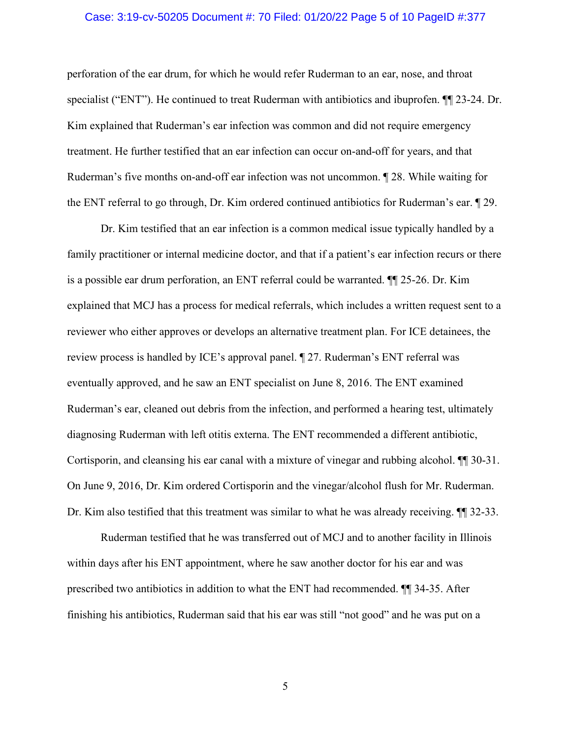### Case: 3:19-cv-50205 Document #: 70 Filed: 01/20/22 Page 5 of 10 PageID #:377

perforation of the ear drum, for which he would refer Ruderman to an ear, nose, and throat specialist ("ENT"). He continued to treat Ruderman with antibiotics and ibuprofen. ¶¶ 23-24. Dr. Kim explained that Ruderman's ear infection was common and did not require emergency treatment. He further testified that an ear infection can occur on-and-off for years, and that Ruderman's five months on-and-off ear infection was not uncommon. ¶ 28. While waiting for the ENT referral to go through, Dr. Kim ordered continued antibiotics for Ruderman's ear. ¶ 29.

Dr. Kim testified that an ear infection is a common medical issue typically handled by a family practitioner or internal medicine doctor, and that if a patient's ear infection recurs or there is a possible ear drum perforation, an ENT referral could be warranted. ¶¶ 25-26. Dr. Kim explained that MCJ has a process for medical referrals, which includes a written request sent to a reviewer who either approves or develops an alternative treatment plan. For ICE detainees, the review process is handled by ICE's approval panel. ¶ 27. Ruderman's ENT referral was eventually approved, and he saw an ENT specialist on June 8, 2016. The ENT examined Ruderman's ear, cleaned out debris from the infection, and performed a hearing test, ultimately diagnosing Ruderman with left otitis externa. The ENT recommended a different antibiotic, Cortisporin, and cleansing his ear canal with a mixture of vinegar and rubbing alcohol. ¶¶ 30-31. On June 9, 2016, Dr. Kim ordered Cortisporin and the vinegar/alcohol flush for Mr. Ruderman. Dr. Kim also testified that this treatment was similar to what he was already receiving. ¶¶ 32-33.

Ruderman testified that he was transferred out of MCJ and to another facility in Illinois within days after his ENT appointment, where he saw another doctor for his ear and was prescribed two antibiotics in addition to what the ENT had recommended. ¶¶ 34-35. After finishing his antibiotics, Ruderman said that his ear was still "not good" and he was put on a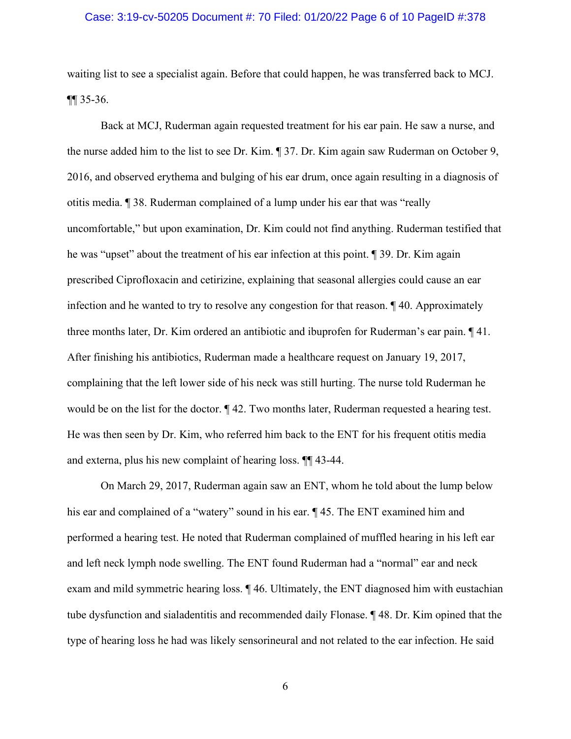### Case: 3:19-cv-50205 Document #: 70 Filed: 01/20/22 Page 6 of 10 PageID #:378

waiting list to see a specialist again. Before that could happen, he was transferred back to MCJ. ¶¶ 35-36.

Back at MCJ, Ruderman again requested treatment for his ear pain. He saw a nurse, and the nurse added him to the list to see Dr. Kim. ¶ 37. Dr. Kim again saw Ruderman on October 9, 2016, and observed erythema and bulging of his ear drum, once again resulting in a diagnosis of otitis media. ¶ 38. Ruderman complained of a lump under his ear that was "really uncomfortable," but upon examination, Dr. Kim could not find anything. Ruderman testified that he was "upset" about the treatment of his ear infection at this point. ¶ 39. Dr. Kim again prescribed Ciprofloxacin and cetirizine, explaining that seasonal allergies could cause an ear infection and he wanted to try to resolve any congestion for that reason. ¶ 40. Approximately three months later, Dr. Kim ordered an antibiotic and ibuprofen for Ruderman's ear pain. ¶ 41. After finishing his antibiotics, Ruderman made a healthcare request on January 19, 2017, complaining that the left lower side of his neck was still hurting. The nurse told Ruderman he would be on the list for the doctor. ¶ 42. Two months later, Ruderman requested a hearing test. He was then seen by Dr. Kim, who referred him back to the ENT for his frequent otitis media and externa, plus his new complaint of hearing loss. ¶¶ 43-44.

On March 29, 2017, Ruderman again saw an ENT, whom he told about the lump below his ear and complained of a "watery" sound in his ear. ¶ 45. The ENT examined him and performed a hearing test. He noted that Ruderman complained of muffled hearing in his left ear and left neck lymph node swelling. The ENT found Ruderman had a "normal" ear and neck exam and mild symmetric hearing loss. ¶ 46. Ultimately, the ENT diagnosed him with eustachian tube dysfunction and sialadentitis and recommended daily Flonase. ¶ 48. Dr. Kim opined that the type of hearing loss he had was likely sensorineural and not related to the ear infection. He said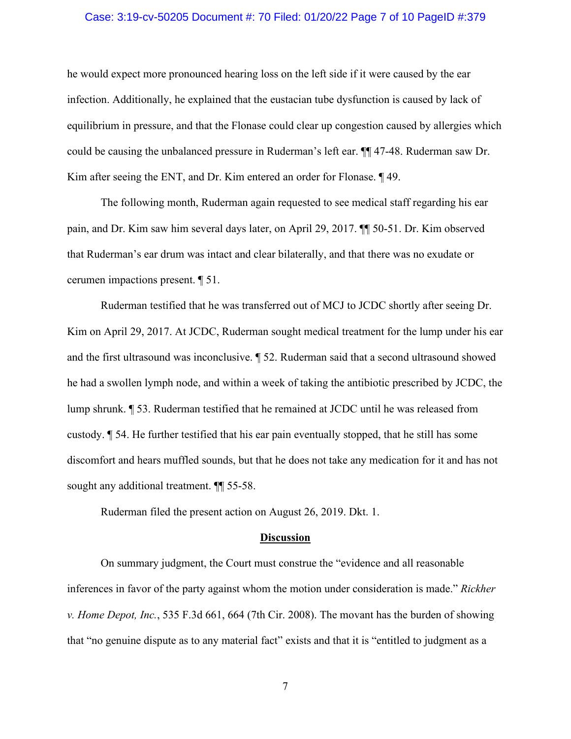### Case: 3:19-cv-50205 Document #: 70 Filed: 01/20/22 Page 7 of 10 PageID #:379

he would expect more pronounced hearing loss on the left side if it were caused by the ear infection. Additionally, he explained that the eustacian tube dysfunction is caused by lack of equilibrium in pressure, and that the Flonase could clear up congestion caused by allergies which could be causing the unbalanced pressure in Ruderman's left ear. ¶¶ 47-48. Ruderman saw Dr. Kim after seeing the ENT, and Dr. Kim entered an order for Flonase. ¶ 49.

The following month, Ruderman again requested to see medical staff regarding his ear pain, and Dr. Kim saw him several days later, on April 29, 2017. ¶¶ 50-51. Dr. Kim observed that Ruderman's ear drum was intact and clear bilaterally, and that there was no exudate or cerumen impactions present. ¶ 51.

Ruderman testified that he was transferred out of MCJ to JCDC shortly after seeing Dr. Kim on April 29, 2017. At JCDC, Ruderman sought medical treatment for the lump under his ear and the first ultrasound was inconclusive. ¶ 52. Ruderman said that a second ultrasound showed he had a swollen lymph node, and within a week of taking the antibiotic prescribed by JCDC, the lump shrunk. ¶ 53. Ruderman testified that he remained at JCDC until he was released from custody. ¶ 54. He further testified that his ear pain eventually stopped, that he still has some discomfort and hears muffled sounds, but that he does not take any medication for it and has not sought any additional treatment. ¶¶ 55-58.

Ruderman filed the present action on August 26, 2019. Dkt. 1.

#### **Discussion**

On summary judgment, the Court must construe the "evidence and all reasonable inferences in favor of the party against whom the motion under consideration is made." *Rickher v. Home Depot, Inc.*, 535 F.3d 661, 664 (7th Cir. 2008). The movant has the burden of showing that "no genuine dispute as to any material fact" exists and that it is "entitled to judgment as a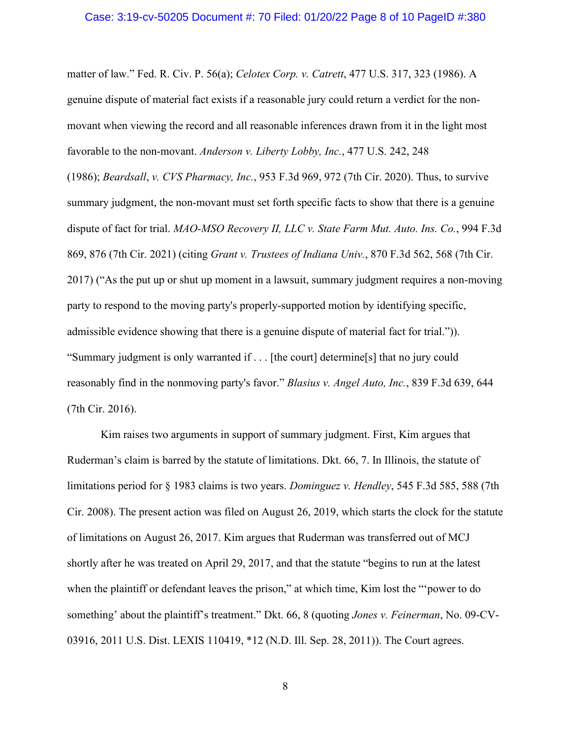#### Case: 3:19-cv-50205 Document #: 70 Filed: 01/20/22 Page 8 of 10 PageID #:380

matter of law." Fed. R. Civ. P. 56(a); *Celotex Corp. v. Catrett*, 477 U.S. 317, 323 (1986). A genuine dispute of material fact exists if a reasonable jury could return a verdict for the nonmovant when viewing the record and all reasonable inferences drawn from it in the light most favorable to the non-movant. *Anderson v. Liberty Lobby, Inc.*, 477 U.S. 242, 248

(1986); *Beardsall*, *v. CVS Pharmacy, Inc.*, 953 F.3d 969, 972 (7th Cir. 2020). Thus, to survive summary judgment, the non-movant must set forth specific facts to show that there is a genuine dispute of fact for trial. *MAO-MSO Recovery II, LLC v. State Farm Mut. Auto. Ins. Co.*, 994 F.3d 869, 876 (7th Cir. 2021) (citing *Grant v. Trustees of Indiana Univ.*, 870 F.3d 562, 568 (7th Cir. 2017) ("As the put up or shut up moment in a lawsuit, summary judgment requires a non-moving party to respond to the moving party's properly-supported motion by identifying specific, admissible evidence showing that there is a genuine dispute of material fact for trial.")). "Summary judgment is only warranted if . . . [the court] determine[s] that no jury could reasonably find in the nonmoving party's favor." *Blasius v. Angel Auto, Inc.*, 839 F.3d 639, 644 (7th Cir. 2016).

Kim raises two arguments in support of summary judgment. First, Kim argues that Ruderman's claim is barred by the statute of limitations. Dkt. 66, 7. In Illinois, the statute of limitations period for § 1983 claims is two years. *Dominguez v. Hendley*, 545 F.3d 585, 588 (7th Cir. 2008). The present action was filed on August 26, 2019, which starts the clock for the statute of limitations on August 26, 2017. Kim argues that Ruderman was transferred out of MCJ shortly after he was treated on April 29, 2017, and that the statute "begins to run at the latest when the plaintiff or defendant leaves the prison," at which time, Kim lost the "'power to do something' about the plaintiff's treatment." Dkt. 66, 8 (quoting *Jones v. Feinerman*, No. 09-CV-03916, 2011 U.S. Dist. LEXIS 110419, \*12 (N.D. Ill. Sep. 28, 2011)). The Court agrees.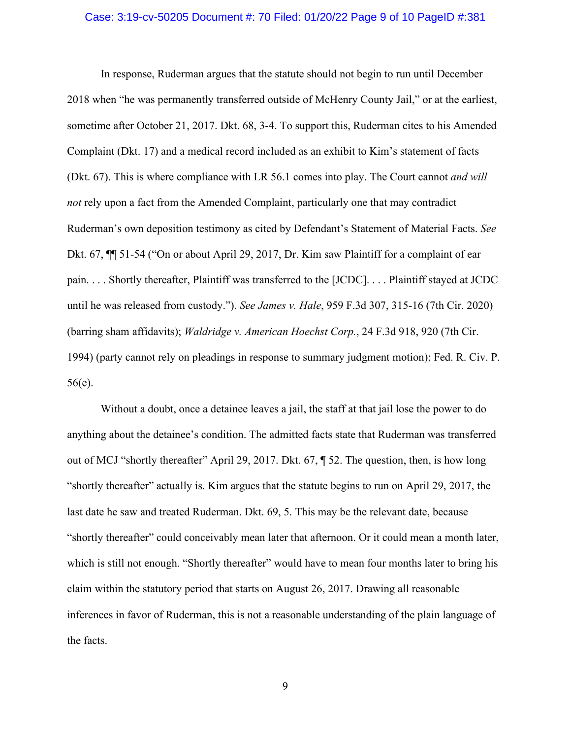#### Case: 3:19-cv-50205 Document #: 70 Filed: 01/20/22 Page 9 of 10 PageID #:381

In response, Ruderman argues that the statute should not begin to run until December 2018 when "he was permanently transferred outside of McHenry County Jail," or at the earliest, sometime after October 21, 2017. Dkt. 68, 3-4. To support this, Ruderman cites to his Amended Complaint (Dkt. 17) and a medical record included as an exhibit to Kim's statement of facts (Dkt. 67). This is where compliance with LR 56.1 comes into play. The Court cannot *and will not* rely upon a fact from the Amended Complaint, particularly one that may contradict Ruderman's own deposition testimony as cited by Defendant's Statement of Material Facts. *See*  Dkt. 67, ¶¶ 51-54 ("On or about April 29, 2017, Dr. Kim saw Plaintiff for a complaint of ear pain. . . . Shortly thereafter, Plaintiff was transferred to the [JCDC]. . . . Plaintiff stayed at JCDC until he was released from custody."). *See James v. Hale*, 959 F.3d 307, 315-16 (7th Cir. 2020) (barring sham affidavits); *Waldridge v. American Hoechst Corp.*, 24 F.3d 918, 920 (7th Cir. 1994) (party cannot rely on pleadings in response to summary judgment motion); Fed. R. Civ. P. 56(e).

Without a doubt, once a detainee leaves a jail, the staff at that jail lose the power to do anything about the detainee's condition. The admitted facts state that Ruderman was transferred out of MCJ "shortly thereafter" April 29, 2017. Dkt. 67, ¶ 52. The question, then, is how long "shortly thereafter" actually is. Kim argues that the statute begins to run on April 29, 2017, the last date he saw and treated Ruderman. Dkt. 69, 5. This may be the relevant date, because "shortly thereafter" could conceivably mean later that afternoon. Or it could mean a month later, which is still not enough. "Shortly thereafter" would have to mean four months later to bring his claim within the statutory period that starts on August 26, 2017. Drawing all reasonable inferences in favor of Ruderman, this is not a reasonable understanding of the plain language of the facts.